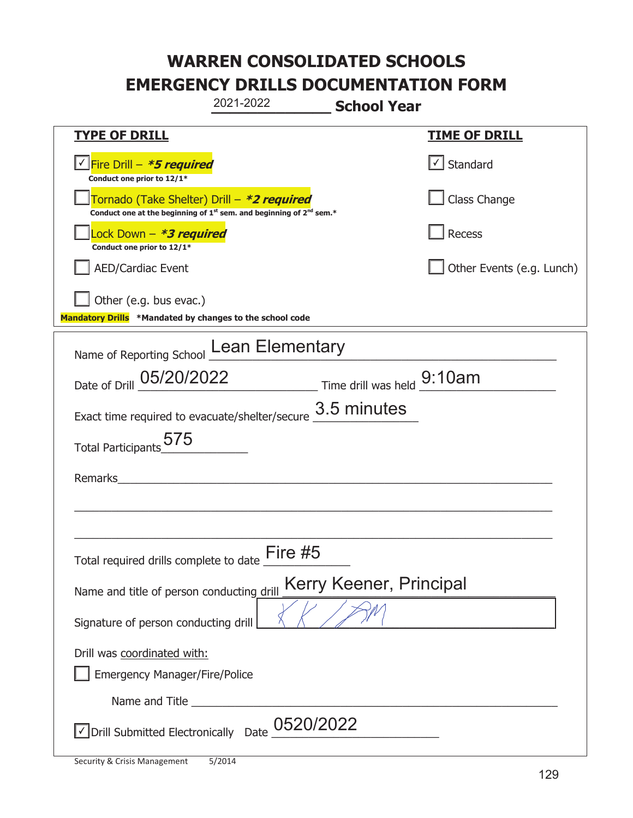| 2021-2022                                                                                                                                 | <b>School Year</b>                    |
|-------------------------------------------------------------------------------------------------------------------------------------------|---------------------------------------|
| <b>TYPE OF DRILL</b>                                                                                                                      | <b>TIME OF DRILL</b>                  |
| <u> √ Fire Drill – <i>*5 required</i></u><br>Conduct one prior to 12/1*                                                                   | $\lfloor \checkmark \rfloor$ Standard |
| Tornado (Take Shelter) Drill - *2 required<br>Conduct one at the beginning of 1 <sup>st</sup> sem. and beginning of 2 <sup>nd</sup> sem.* | Class Change                          |
| Lock Down - <b>*3 required</b><br>Conduct one prior to 12/1*                                                                              | Recess                                |
| <b>AED/Cardiac Event</b>                                                                                                                  | Other Events (e.g. Lunch)             |
| Other (e.g. bus evac.)<br>Mandatory Drills *Mandated by changes to the school code                                                        |                                       |
| Name of Reporting School Lean Elementary                                                                                                  |                                       |
| Date of Drill 05/20/2022 Time drill was held 9:10am                                                                                       |                                       |
| Exact time required to evacuate/shelter/secure $\frac{3.5}{1}$ minutes                                                                    |                                       |
| Total Participants_575                                                                                                                    |                                       |
| Remarks                                                                                                                                   |                                       |
|                                                                                                                                           |                                       |
| Total required drills complete to date                                                                                                    | Fire #5                               |
| Name and title of person conducting drill                                                                                                 | Kerry Keener, Principal               |
| Signature of person conducting drill                                                                                                      |                                       |
| Drill was coordinated with:<br>Emergency Manager/Fire/Police                                                                              |                                       |
|                                                                                                                                           |                                       |
| $\vee$ Drill Submitted Electronically Date $\frac{0520/2022}{\cdots}$                                                                     |                                       |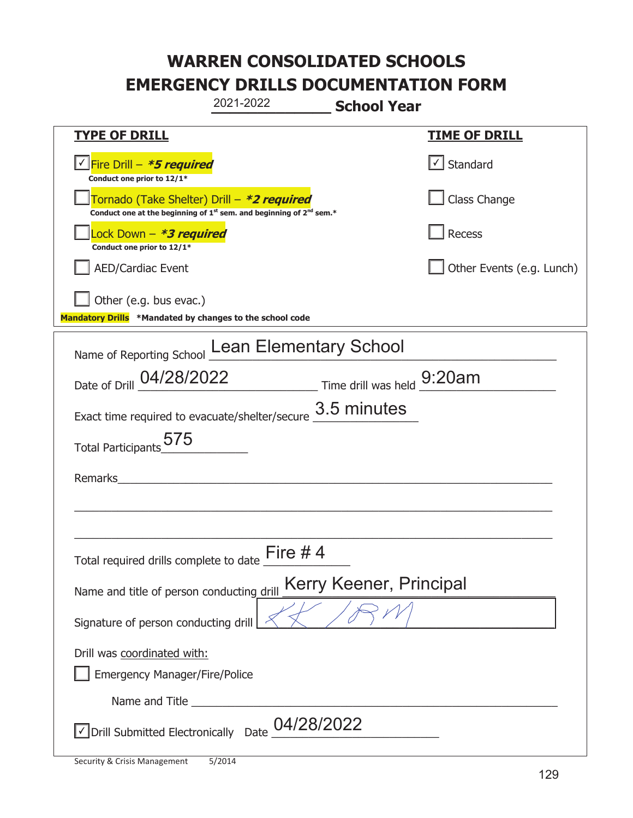|                                                                                    | 2021-2022                                                                     | <b>School Year</b>      |                           |
|------------------------------------------------------------------------------------|-------------------------------------------------------------------------------|-------------------------|---------------------------|
| <u>TYPE OF DRILL</u>                                                               |                                                                               |                         | <u>TIME OF DRILL</u>      |
| Fire Drill - *5 required<br>Conduct one prior to 12/1*                             |                                                                               |                         | √ Standard                |
| Tornado (Take Shelter) Drill – *2 required                                         | Conduct one at the beginning of $1^{st}$ sem. and beginning of $2^{nd}$ sem.* |                         | Class Change              |
| Lock Down – <b>*<i>3 required</i></b><br>Conduct one prior to 12/1*                |                                                                               |                         | Recess                    |
| <b>AED/Cardiac Event</b>                                                           |                                                                               |                         | Other Events (e.g. Lunch) |
| Other (e.g. bus evac.)<br>Mandatory Drills *Mandated by changes to the school code |                                                                               |                         |                           |
|                                                                                    | Name of Reporting School Lean Elementary School                               |                         |                           |
|                                                                                    | Date of Drill 04/28/2022 Time drill was held 9:20am                           |                         |                           |
| Exact time required to evacuate/shelter/secure                                     |                                                                               | 3.5 minutes             |                           |
| Total Participants 575                                                             |                                                                               |                         |                           |
| Remarks                                                                            |                                                                               |                         |                           |
|                                                                                    |                                                                               |                         |                           |
| Total required drills complete to date                                             | Fire $#4$                                                                     |                         |                           |
| Name and title of person conducting drill                                          |                                                                               | Kerry Keener, Principal |                           |
| Signature of person conducting drill                                               |                                                                               |                         |                           |
| Drill was coordinated with:<br><b>Emergency Manager/Fire/Police</b>                |                                                                               |                         |                           |
|                                                                                    |                                                                               |                         |                           |
| Drill Submitted Electronically Date                                                | 04/28/2022                                                                    |                         |                           |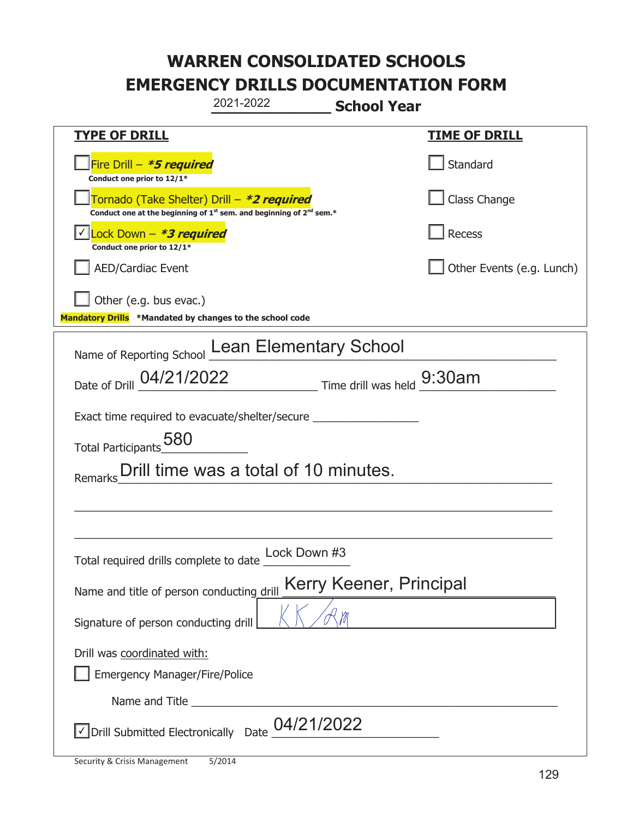| 2021-2022<br><b>School Year</b>                                                                                             |                           |  |
|-----------------------------------------------------------------------------------------------------------------------------|---------------------------|--|
| <b>TYPE OF DRILL</b>                                                                                                        | <b>TIME OF DRILL</b>      |  |
| Fire Drill - *5 required<br>Conduct one prior to 12/1*                                                                      | Standard                  |  |
| Tornado (Take Shelter) Drill - *2 required<br>Conduct one at the beginning of $1^{st}$ sem. and beginning of $2^{nd}$ sem.* | Class Change              |  |
| Lock Down $-$ <b>*3 required</b><br>Conduct one prior to 12/1*                                                              | Recess                    |  |
| <b>AED/Cardiac Event</b>                                                                                                    | Other Events (e.g. Lunch) |  |
| Other (e.g. bus evac.)<br>Mandatory Drills *Mandated by changes to the school code                                          |                           |  |
| Name of Reporting School Lean Elementary School                                                                             |                           |  |
| Date of Drill 04/21/2022 Time drill was held 9:30am                                                                         |                           |  |
| Exact time required to evacuate/shelter/secure _________________________________                                            |                           |  |
| Total Participants 580                                                                                                      |                           |  |
| Drill time was a total of 10 minutes.<br>Remarks                                                                            |                           |  |
|                                                                                                                             |                           |  |
|                                                                                                                             |                           |  |
| Lock Down #3<br>Total required drills complete to date                                                                      |                           |  |
| Kerry Keener, Principal<br>Name and title of person conducting drill                                                        |                           |  |
| Signature of person conducting drill                                                                                        |                           |  |
| Drill was coordinated with:                                                                                                 |                           |  |
| Emergency Manager/Fire/Police                                                                                               |                           |  |
|                                                                                                                             |                           |  |
| $\sqrt{}$ Drill Submitted Electronically Date $\underline{\begin{array}{c} 04/21/2022 \end{array}}$                         |                           |  |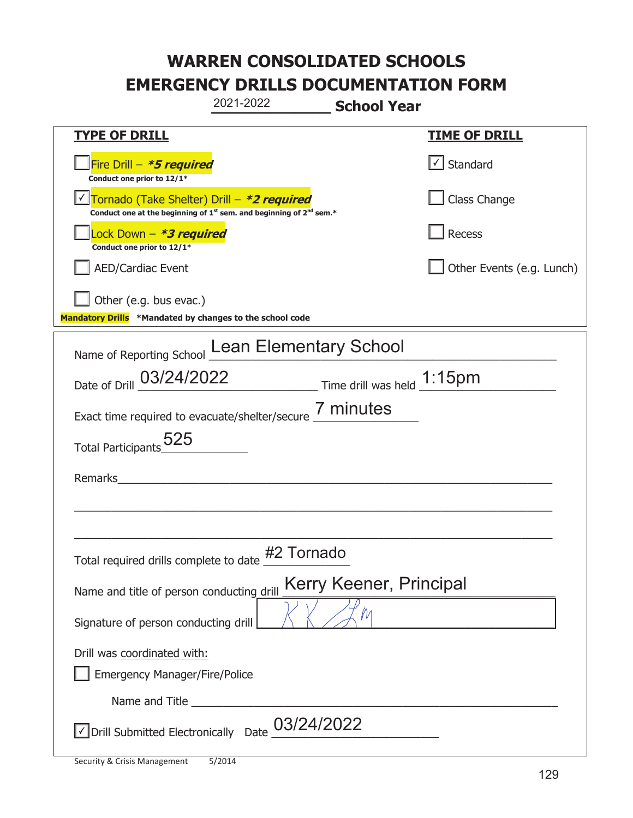|                                                                                    | 2021-2022                                                                                   | <b>School Year</b>         |
|------------------------------------------------------------------------------------|---------------------------------------------------------------------------------------------|----------------------------|
| <b>TYPE OF DRILL</b>                                                               |                                                                                             | <b>TIME OF DRILL</b>       |
| Fire Drill - *5 required<br>Conduct one prior to 12/1*                             |                                                                                             | $\cup$ Standard            |
| Tornado (Take Shelter) Drill - *2 required                                         | Conduct one at the beginning of 1 <sup>st</sup> sem. and beginning of 2 <sup>nd</sup> sem.* | Class Change               |
| ock Down – <b>*3 required</b><br>Conduct one prior to 12/1*                        |                                                                                             | Recess                     |
| <b>AED/Cardiac Event</b>                                                           |                                                                                             | Other Events (e.g. Lunch)  |
| Other (e.g. bus evac.)<br>Mandatory Drills *Mandated by changes to the school code |                                                                                             |                            |
|                                                                                    | Name of Reporting School Lean Elementary School                                             |                            |
| Date of Drill 03/24/2022                                                           |                                                                                             | Time drill was held 1:15pm |
|                                                                                    | Exact time required to evacuate/shelter/secure 7 minutes                                    |                            |
| Total Participants_525                                                             |                                                                                             |                            |
| Remarks                                                                            |                                                                                             |                            |
|                                                                                    |                                                                                             |                            |
| Total required drills complete to date                                             | #2 Tornado                                                                                  |                            |
| Name and title of person conducting drill                                          |                                                                                             | Kerry Keener, Principal    |
| Signature of person conducting drill                                               |                                                                                             |                            |
| Drill was coordinated with:<br><b>Emergency Manager/Fire/Police</b>                |                                                                                             |                            |
|                                                                                    |                                                                                             |                            |
| √ Drill Submitted Electronically Date                                              | 03/24/2022                                                                                  |                            |

t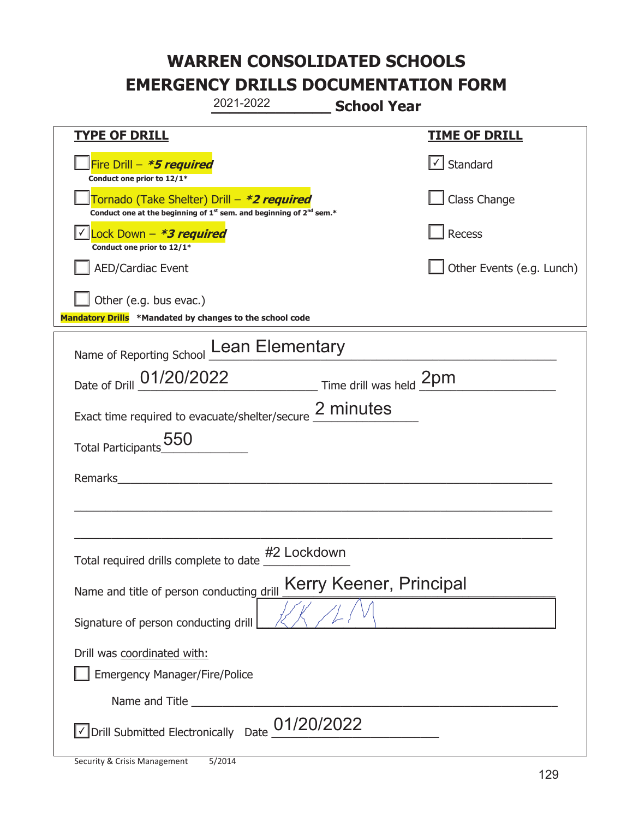|                                                                                    | 2021-2022                                                               | <b>School Year</b>      |                                   |
|------------------------------------------------------------------------------------|-------------------------------------------------------------------------|-------------------------|-----------------------------------|
| <b>TYPE OF DRILL</b>                                                               |                                                                         |                         | <u>TIME OF DRILL</u>              |
| Fire Drill - *5 required<br>Conduct one prior to 12/1*                             |                                                                         |                         | $\lfloor \angle \rfloor$ Standard |
| Tornado (Take Shelter) Drill – *2 required                                         | Conduct one at the beginning of $1st$ sem. and beginning of $2nd$ sem.* |                         | Class Change                      |
| Lock Down - *3 required<br>Conduct one prior to 12/1*                              |                                                                         |                         | Recess                            |
| <b>AED/Cardiac Event</b>                                                           |                                                                         |                         | Other Events (e.g. Lunch)         |
| Other (e.g. bus evac.)<br>Mandatory Drills *Mandated by changes to the school code |                                                                         |                         |                                   |
|                                                                                    | Name of Reporting School Lean Elementary                                |                         |                                   |
|                                                                                    | Date of Drill 01/20/2022 Time drill was held 2pm                        |                         |                                   |
|                                                                                    | Exact time required to evacuate/shelter/secure 2 minutes                |                         |                                   |
| Total Participants 550                                                             |                                                                         |                         |                                   |
| Remarks                                                                            |                                                                         |                         |                                   |
|                                                                                    |                                                                         |                         |                                   |
|                                                                                    |                                                                         |                         |                                   |
| Total required drills complete to date                                             | #2 Lockdown                                                             |                         |                                   |
| Name and title of person conducting drill                                          |                                                                         | Kerry Keener, Principal |                                   |
| Signature of person conducting drill                                               |                                                                         |                         |                                   |
| Drill was coordinated with:<br><b>Emergency Manager/Fire/Police</b>                |                                                                         |                         |                                   |
|                                                                                    |                                                                         |                         |                                   |
| √ Drill Submitted Electronically Date                                              | 01/20/2022                                                              |                         |                                   |

t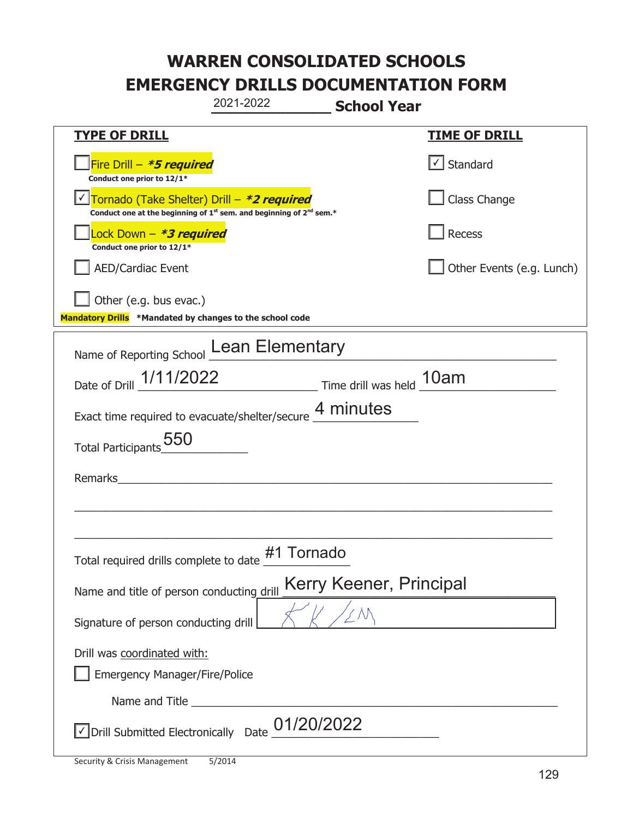|                                                                                    | 2021-2022                                                                                   | <b>School Year</b>      |                           |
|------------------------------------------------------------------------------------|---------------------------------------------------------------------------------------------|-------------------------|---------------------------|
| <b>TYPE OF DRILL</b>                                                               |                                                                                             |                         | <b>TIME OF DRILL</b>      |
| Fire Drill – <i>*<b>5 required</b></i><br>Conduct one prior to 12/1*               |                                                                                             |                         | $\cup$ Standard           |
| Tornado (Take Shelter) Drill – *2 required                                         | Conduct one at the beginning of 1 <sup>st</sup> sem. and beginning of 2 <sup>nd</sup> sem.* |                         | Class Change              |
| Lock Down - <b>*3 required</b><br>Conduct one prior to 12/1*                       |                                                                                             |                         | Recess                    |
| <b>AED/Cardiac Event</b>                                                           |                                                                                             |                         | Other Events (e.g. Lunch) |
| Other (e.g. bus evac.)<br>Mandatory Drills *Mandated by changes to the school code |                                                                                             |                         |                           |
| Name of Reporting School Lean Elementary                                           |                                                                                             |                         |                           |
| Date of Drill 1/11/2022 Time drill was held 10am                                   |                                                                                             |                         |                           |
| Exact time required to evacuate/shelter/secure 4 minutes                           |                                                                                             |                         |                           |
| Total Participants 550                                                             |                                                                                             |                         |                           |
| Remarks                                                                            |                                                                                             |                         |                           |
|                                                                                    |                                                                                             |                         |                           |
| Total required drills complete to date                                             | #1 Tornado                                                                                  |                         |                           |
| Name and title of person conducting drill                                          |                                                                                             | Kerry Keener, Principal |                           |
| Signature of person conducting drill                                               |                                                                                             |                         |                           |
| Drill was coordinated with:<br><b>Emergency Manager/Fire/Police</b>                |                                                                                             |                         |                           |
|                                                                                    |                                                                                             |                         |                           |
| Drill Submitted Electronically Date                                                | 01/20/2022                                                                                  |                         |                           |

t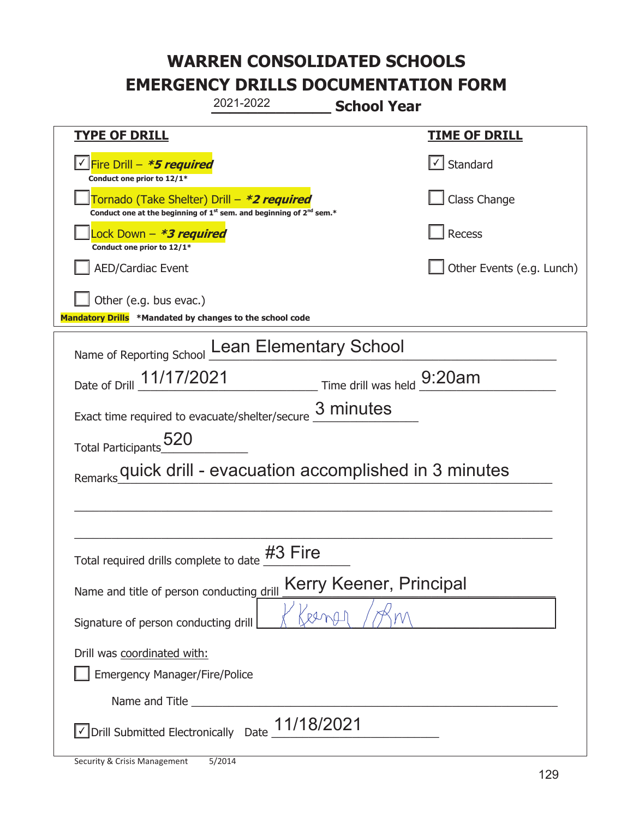| 2021-2022<br><b>School Year</b>                                                                                                           |                                       |  |
|-------------------------------------------------------------------------------------------------------------------------------------------|---------------------------------------|--|
| <b>TYPE OF DRILL</b>                                                                                                                      | <b>TIME OF DRILL</b>                  |  |
| <u> √ Fire Drill – <i>*5 required</i></u><br>Conduct one prior to 12/1*                                                                   | $\lfloor \checkmark \rfloor$ Standard |  |
| Tornado (Take Shelter) Drill – *2 required<br>Conduct one at the beginning of 1 <sup>st</sup> sem. and beginning of 2 <sup>nd</sup> sem.* | Class Change                          |  |
| Lock Down – <i>*<b>3 required</b></i><br>Conduct one prior to 12/1*                                                                       | Recess                                |  |
| <b>AED/Cardiac Event</b>                                                                                                                  | Other Events (e.g. Lunch)             |  |
| Other (e.g. bus evac.)<br>Mandatory Drills *Mandated by changes to the school code                                                        |                                       |  |
| Name of Reporting School Lean Elementary School                                                                                           |                                       |  |
| Date of Drill 11/17/2021 Time drill was held 9:20am                                                                                       |                                       |  |
| Exact time required to evacuate/shelter/secure 3 minutes                                                                                  |                                       |  |
| Total Participants <sub>20</sub>                                                                                                          |                                       |  |
| Remarks quick drill - evacuation accomplished in 3 minutes                                                                                |                                       |  |
|                                                                                                                                           |                                       |  |
|                                                                                                                                           |                                       |  |
| Total required drills complete to date #3 Fire                                                                                            |                                       |  |
| Kerry Keener, Principal<br>Name and title of person conducting drill                                                                      |                                       |  |
| Signature of person conducting drill                                                                                                      |                                       |  |
| Drill was coordinated with:                                                                                                               |                                       |  |
| <b>Emergency Manager/Fire/Police</b>                                                                                                      |                                       |  |
|                                                                                                                                           |                                       |  |
| $\vee$ Drill Submitted Electronically Date $\underline{11/18/2021}$                                                                       |                                       |  |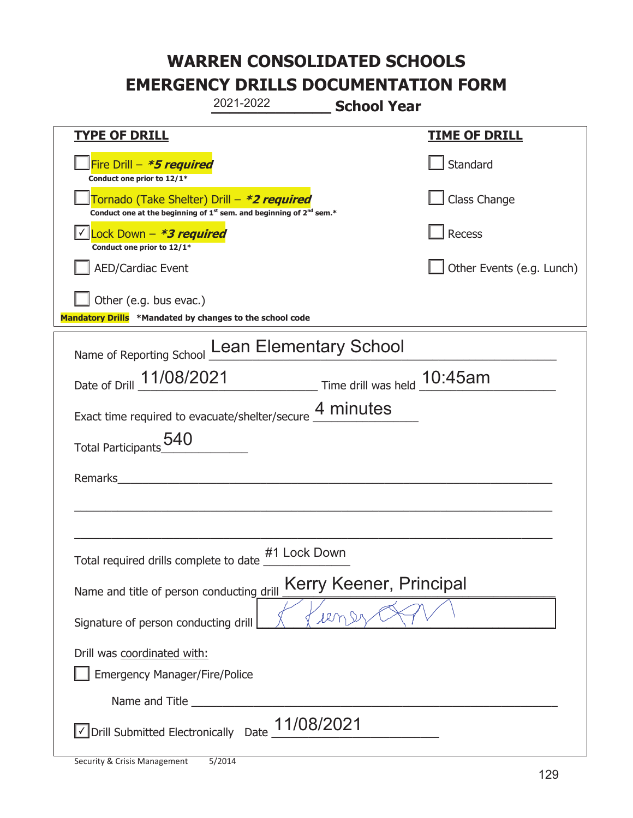|                                                                                    | 2021-2022                                                                                   | <b>School Year</b>        |
|------------------------------------------------------------------------------------|---------------------------------------------------------------------------------------------|---------------------------|
| <u>TYPE OF DRILL</u>                                                               |                                                                                             | <u>TIME OF DRILL</u>      |
| Fire Drill - *5 required<br>Conduct one prior to 12/1*                             |                                                                                             | Standard                  |
| Tornado (Take Shelter) Drill – *2 required                                         | Conduct one at the beginning of 1 <sup>st</sup> sem. and beginning of 2 <sup>nd</sup> sem.* | Class Change              |
| Lock Down - *3 required<br>Conduct one prior to 12/1*                              |                                                                                             | Recess                    |
| <b>AED/Cardiac Event</b>                                                           |                                                                                             | Other Events (e.g. Lunch) |
| Other (e.g. bus evac.)<br>Mandatory Drills *Mandated by changes to the school code |                                                                                             |                           |
|                                                                                    | Name of Reporting School Lean Elementary School                                             |                           |
|                                                                                    | Date of Drill 11/08/2021 Time drill was held 10:45am                                        |                           |
|                                                                                    | Exact time required to evacuate/shelter/secure 4 minutes                                    |                           |
| Total Participants_540                                                             |                                                                                             |                           |
| Remarks                                                                            |                                                                                             |                           |
|                                                                                    |                                                                                             |                           |
| Total required drills complete to date                                             | #1 Lock Down                                                                                |                           |
| Name and title of person conducting drill                                          |                                                                                             | Kerry Keener, Principal   |
| Signature of person conducting drill                                               | len                                                                                         |                           |
| Drill was coordinated with:<br><b>Emergency Manager/Fire/Police</b>                |                                                                                             |                           |
|                                                                                    |                                                                                             |                           |
| Drill Submitted Electronically Date                                                | 11/08/2021                                                                                  |                           |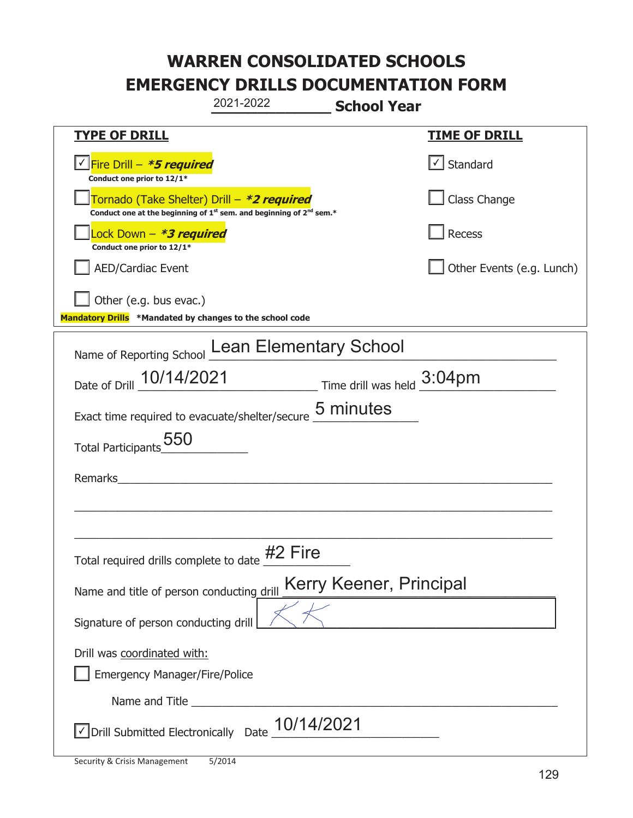|                                                                                                                       | 2021-2022  | <b>School Year</b>      |                                                  |
|-----------------------------------------------------------------------------------------------------------------------|------------|-------------------------|--------------------------------------------------|
| <b>TYPE OF DRILL</b>                                                                                                  |            |                         | <u>TIME OF DRILL</u>                             |
| <u>V Fire Drill - <b>*5 required</b></u><br>Conduct one prior to 12/1*                                                |            |                         | $\vert\textcolor{red}{\mathbf{1}}\vert$ Standard |
| Tornado (Take Shelter) Drill – *2 required<br>Conduct one at the beginning of $1st$ sem. and beginning of $2nd$ sem.* |            |                         | Class Change                                     |
| Lock Down - *3 required<br>Conduct one prior to 12/1*                                                                 |            |                         | Recess                                           |
| <b>AED/Cardiac Event</b>                                                                                              |            |                         | Other Events (e.g. Lunch)                        |
| Other (e.g. bus evac.)<br>Mandatory Drills *Mandated by changes to the school code                                    |            |                         |                                                  |
| Name of Reporting School Lean Elementary School                                                                       |            |                         |                                                  |
| Date of Drill 10/14/2021 Time drill was held 3:04pm                                                                   |            |                         |                                                  |
| Exact time required to evacuate/shelter/secure 5 minutes                                                              |            |                         |                                                  |
| Total Participants 550                                                                                                |            |                         |                                                  |
| Remarks                                                                                                               |            |                         |                                                  |
|                                                                                                                       |            |                         |                                                  |
|                                                                                                                       |            |                         |                                                  |
| Total required drills complete to date $#2$ Fire                                                                      |            |                         |                                                  |
| Name and title of person conducting drill                                                                             |            | Kerry Keener, Principal |                                                  |
| Signature of person conducting drill                                                                                  |            |                         |                                                  |
| Drill was coordinated with:                                                                                           |            |                         |                                                  |
| Emergency Manager/Fire/Police                                                                                         |            |                         |                                                  |
|                                                                                                                       |            |                         |                                                  |
| √ Drill Submitted Electronically Date                                                                                 | 10/14/2021 |                         |                                                  |